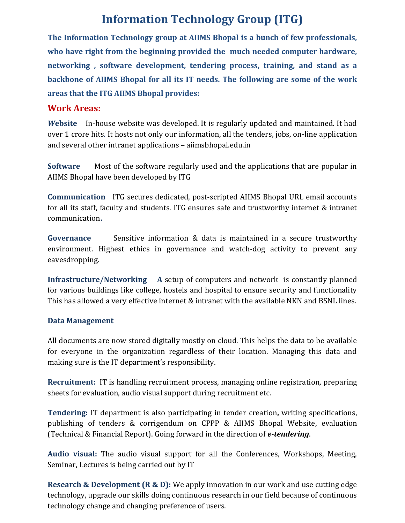## **Information Technology Group (ITG)**

**The Information Technology group at AIIMS Bhopal is a bunch of few professionals, who have right from the beginning provided the much needed computer hardware, networking , software development, tendering process, training, and stand as a backbone of AIIMS Bhopal for all its IT needs. The following are some of the work areas that the ITG AIIMS Bhopal provides:**

### **Work Areas:**

*W***ebsite** In-house website was developed. It is regularly updated and maintained. It had over 1 crore hits. It hosts not only our information, all the tenders, jobs, on-line application and several other intranet applications – aiimsbhopal.edu.in

**Software** Most of the software regularly used and the applications that are popular in AIIMS Bhopal have been developed by ITG

**Communication** ITG secures dedicated, post-scripted AIIMS Bhopal URL email accounts for all its staff, faculty and students. ITG ensures safe and trustworthy internet & intranet communication**.** 

**Governance** Sensitive information & data is maintained in a secure trustworthy environment. Highest ethics in governance and watch-dog activity to prevent any eavesdropping.

**Infrastructure/Networking A** setup of computers and network is constantly planned for various buildings like college, hostels and hospital to ensure security and functionality This has allowed a very effective internet & intranet with the available NKN and BSNL lines.

#### **Data Management**

All documents are now stored digitally mostly on cloud. This helps the data to be available for everyone in the organization regardless of their location. Managing this data and making sure is the IT department's responsibility.

**Recruitment:** IT is handling recruitment process, managing online registration, preparing sheets for evaluation, audio visual support during recruitment etc.

**Tendering:** IT department is also participating in tender creation**,** writing specifications, publishing of tenders & corrigendum on CPPP & AIIMS Bhopal Website, evaluation (Technical & Financial Report). Going forward in the direction of *e-tendering*.

**Audio visual:** The audio visual support for all the Conferences, Workshops, Meeting, Seminar, Lectures is being carried out by IT

**Research & Development (R & D):** We apply innovation in our work and use cutting edge technology, upgrade our skills doing continuous research in our field because of continuous technology change and changing preference of users.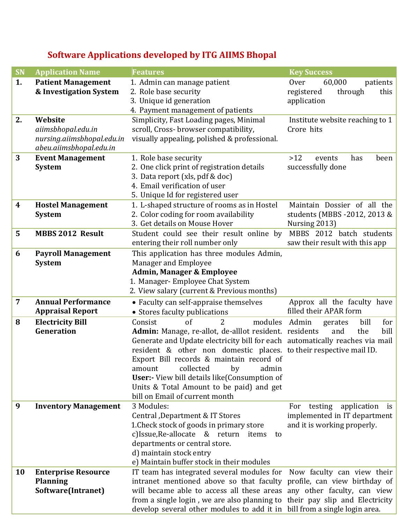# **Software Applications developed by ITG AIIMS Bhopal**

| <b>SN</b> | <b>Application Name</b>     | <b>Features</b>                                                              | <b>Key Success</b>                |
|-----------|-----------------------------|------------------------------------------------------------------------------|-----------------------------------|
| 1.        | <b>Patient Management</b>   | 1. Admin can manage patient                                                  | 60,000<br><b>Over</b><br>patients |
|           | & Investigation System      | 2. Role base security                                                        | through<br>registered<br>this     |
|           |                             | 3. Unique id generation                                                      | application                       |
|           |                             | 4. Payment management of patients                                            |                                   |
| 2.        | Website                     | Simplicity, Fast Loading pages, Minimal                                      | Institute website reaching to 1   |
|           | aiimsbhopal.edu.in          | scroll, Cross-browser compatibility,                                         | Crore hits                        |
|           | nursing.aiimsbhopal.edu.in  | visually appealing, polished & professional.                                 |                                   |
|           | abeu.aiimsbhopal.edu.in     |                                                                              |                                   |
| 3         | <b>Event Management</b>     | 1. Role base security                                                        | >12<br>has<br>been<br>events      |
|           | <b>System</b>               | 2. One click print of registration details                                   | successfully done                 |
|           |                             | 3. Data report (xls, pdf & doc)                                              |                                   |
|           |                             | 4. Email verification of user                                                |                                   |
|           |                             | 5. Unique Id for registered user                                             |                                   |
| 4         | <b>Hostel Management</b>    | 1. L-shaped structure of rooms as in Hostel                                  | Maintain Dossier of all the       |
|           | <b>System</b>               | 2. Color coding for room availability                                        | students (MBBS -2012, 2013 &      |
|           |                             | 3. Get details on Mouse Hover                                                | Nursing 2013)                     |
| 5         | <b>MBBS 2012 Result</b>     | Student could see their result online by                                     | MBBS 2012 batch students          |
|           |                             | entering their roll number only                                              | saw their result with this app    |
| 6         | <b>Payroll Management</b>   | This application has three modules Admin,                                    |                                   |
|           | <b>System</b>               | Manager and Employee                                                         |                                   |
|           |                             | <b>Admin, Manager &amp; Employee</b>                                         |                                   |
|           |                             | 1. Manager-Employee Chat System                                              |                                   |
|           |                             | 2. View salary (current & Previous months)                                   |                                   |
| 7         | <b>Annual Performance</b>   | • Faculty can self-appraise themselves                                       | Approx all the faculty have       |
|           | <b>Appraisal Report</b>     | • Stores faculty publications                                                | filled their APAR form            |
| 8         | <b>Electricity Bill</b>     | of<br>$\overline{2}$<br>Consist<br>modules                                   | Admin<br>for<br>bill<br>gerates   |
|           | Generation                  | Admin: Manage, re-allot, de-alllot resident. residents                       | bill<br>and<br>the                |
|           |                             | Generate and Update electricity bill for each automatically reaches via mail |                                   |
|           |                             | resident & other non domestic places. to their respective mail ID.           |                                   |
|           |                             | Export Bill records & maintain record of                                     |                                   |
|           |                             | collected<br>by<br>admin<br>amount                                           |                                   |
|           |                             | User:- View bill details like (Consumption of                                |                                   |
|           |                             | Units & Total Amount to be paid) and get                                     |                                   |
|           |                             | bill on Email of current month                                               |                                   |
| 9         | <b>Inventory Management</b> | 3 Modules:                                                                   | For testing application is        |
|           |                             | Central, Department & IT Stores                                              | implemented in IT department      |
|           |                             | 1. Check stock of goods in primary store                                     | and it is working properly.       |
|           |                             | c)Issue, Re-allocate & return items<br>to                                    |                                   |
|           |                             | departments or central store.                                                |                                   |
|           |                             | d) maintain stock entry                                                      |                                   |
|           |                             | e) Maintain buffer stock in their modules                                    |                                   |
| 10        | <b>Enterprise Resource</b>  | IT team has integrated several modules for Now faculty can view their        |                                   |
|           | <b>Planning</b>             | intranet mentioned above so that faculty profile, can view birthday of       |                                   |
|           | Software(Intranet)          | will became able to access all these areas any other faculty, can view       |                                   |
|           |                             | from a single login, we are also planning to their pay slip and Electricity  |                                   |
|           |                             | develop several other modules to add it in bill from a single login area.    |                                   |